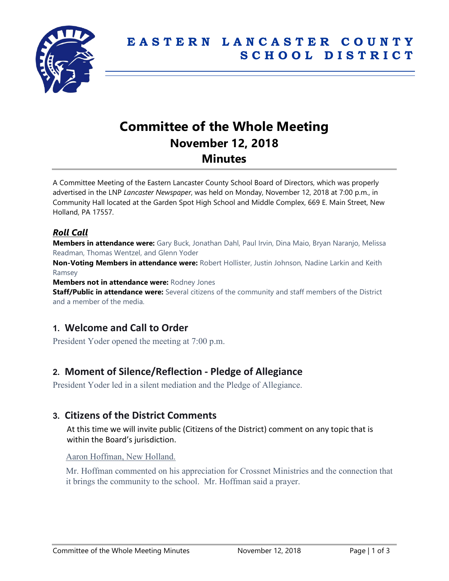

# **Committee of the Whole Meeting November 12, 2018 Minutes**

A Committee Meeting of the Eastern Lancaster County School Board of Directors, which was properly advertised in the LNP *Lancaster Newspaper*, was held on Monday, November 12, 2018 at 7:00 p.m., in Community Hall located at the Garden Spot High School and Middle Complex, 669 E. Main Street, New Holland, PA 17557.

### *Roll Call*

**Members in attendance were:** Gary Buck, Jonathan Dahl, Paul Irvin, Dina Maio, Bryan Naranjo, Melissa Readman, Thomas Wentzel, and Glenn Yoder

**Non-Voting Members in attendance were:** Robert Hollister, Justin Johnson, Nadine Larkin and Keith Ramsey

**Members not in attendance were:** Rodney Jones

**Staff/Public in attendance were:** Several citizens of the community and staff members of the District and a member of the media.

# **1. Welcome and Call to Order**

President Yoder opened the meeting at 7:00 p.m.

# **2. Moment of Silence/Reflection - Pledge of Allegiance**

President Yoder led in a silent mediation and the Pledge of Allegiance.

### **3. Citizens of the District Comments**

At this time we will invite public (Citizens of the District) comment on any topic that is within the Board's jurisdiction.

#### Aaron Hoffman, New Holland.

Mr. Hoffman commented on his appreciation for Crossnet Ministries and the connection that it brings the community to the school. Mr. Hoffman said a prayer.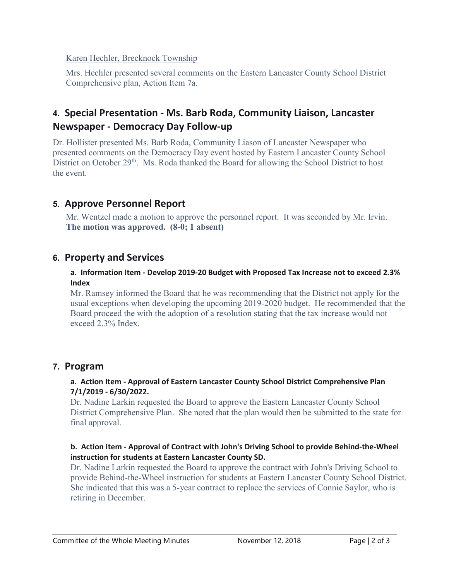Karen Hechler, Brecknock Township

Mrs. Hechler presented several comments on the Eastern Lancaster County School District Comprehensive plan, Action Item 7a.

# **4. Special Presentation - Ms. Barb Roda, Community Liaison, Lancaster Newspaper - Democracy Day Follow-up**

Dr. Hollister presented Ms. Barb Roda, Community Liason of Lancaster Newspaper who presented comments on the Democracy Day event hosted by Eastern Lancaster County School District on October 29<sup>th</sup>. Ms. Roda thanked the Board for allowing the School District to host the event.

# **5. Approve Personnel Report**

Mr. Wentzel made a motion to approve the personnel report. It was seconded by Mr. Irvin. **The motion was approved. (8-0; 1 absent)**

# **6. Property and Services**

#### **a. Information Item - Develop 2019-20 Budget with Proposed Tax Increase not to exceed 2.3% Index**

Mr. Ramsey informed the Board that he was recommending that the District not apply for the usual exceptions when developing the upcoming 2019-2020 budget. He recommended that the Board proceed the with the adoption of a resolution stating that the tax increase would not exceed 2.3% Index.

# **7. Program**

### **a. Action Item - Approval of Eastern Lancaster County School District Comprehensive Plan 7/1/2019 - 6/30/2022.**

Dr. Nadine Larkin requested the Board to approve the Eastern Lancaster County School District Comprehensive Plan. She noted that the plan would then be submitted to the state for final approval.

#### **b. Action Item - Approval of Contract with John's Driving School to provide Behind-the-Wheel instruction for students at Eastern Lancaster County SD.**

Dr. Nadine Larkin requested the Board to approve the contract with John's Driving School to provide Behind-the-Wheel instruction for students at Eastern Lancaster County School District. She indicated that this was a 5-year contract to replace the services of Connie Saylor, who is retiring in December.